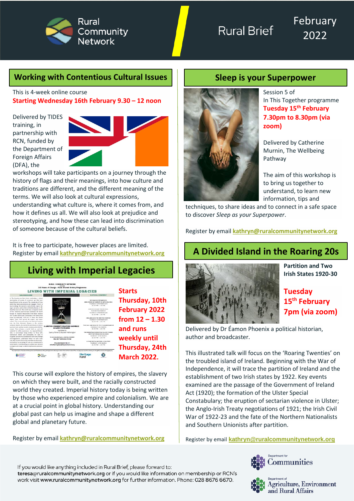

February 2022

#### **Working with Contentious Cultural Issues Sleep is your Superpower**

This is 4-week online course **Starting Wednesday 16th February 9.30 – 12 noon**

Delivered by TIDES training, in partnership with RCN, funded by the Department of Foreign Affairs (DFA), the



workshops will take participants on a journey through the history of flags and their meanings, into how culture and traditions are different, and the different meaning of the terms. We will also look at cultural expressions, understanding what culture is, where it comes from, and how it defines us all. We will also look at prejudice and stereotyping, and how these can lead into discrimination of someone because of the cultural beliefs.

It is free to participate, however places are limited. Register by email **[kathryn@ruralcommunitynetwork.org](mailto:kathryn@ruralcommunitynetwork.org)**

# **Living with Imperial Legacies**



This course will explore the history of empires, the slavery on which they were built, and the racially constructed world they created. Imperial history today is being written by those who experienced empire and colonialism. We are at a crucial point in global history. Understanding our global past can help us imagine and shape a different global and planetary future.

Register by email **[kathryn@ruralcommunitynetwork.org](mailto:kathryn@ruralcommunitynetwork.org)**



Session 5 of In This Together programme **Tuesday 15th February 7.30pm to 8.30pm (via zoom)**

Delivered by Catherine Murnin, The Wellbeing Pathway

The aim of this workshop is to bring us together to understand, to learn new information, tips and

techniques, to share ideas and to connect in a safe space to discover *Sleep as your Superpower*.

Register by email **[kathryn@ruralcommunitynetwork.org](mailto:kathryn@ruralcommunitynetwork.org)**

# **A Divided Island in the Roaring 20s**



**Partition and Two Irish States 1920-30**

#### **Tuesday 15th February 7pm (via zoom)**

Delivered by Dr Éamon Phoenix a political historian, author and broadcaster.

This illustrated talk will focus on the 'Roaring Twenties' on the troubled island of Ireland. Beginning with the War of Independence, it will trace the partition of Ireland and the establishment of two Irish states by 1922. Key events examined are the passage of the Government of Ireland Act (1920); the formation of the Ulster Special Constabulary; the eruption of sectarian violence in Ulster; the Anglo-Irish Treaty negotiations of 1921; the Irish Civil War of 1922-23 and the fate of the Northern Nationalists and Southern Unionists after partition.

Register by email **[kathryn@ruralcommunitynetwork.org](mailto:kathryn@ruralcommunitynetwork.org)**



Communities



teresa@ruralcommunitynetwork.org or if you would like information on membership or RCN's work visit www.ruralcommunitynetwork.org for further information. Phone: 028 8676 6670.